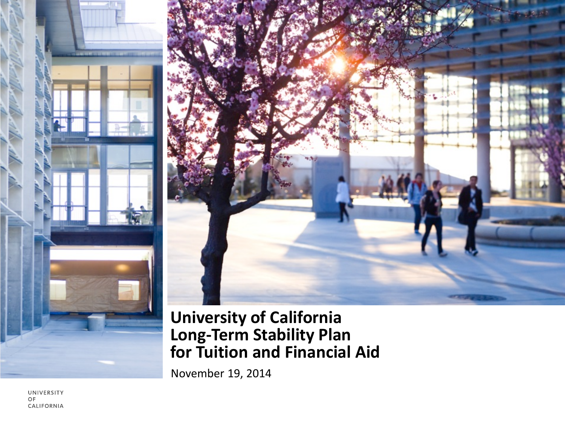



#### **University of California Long-Term Stability Plan for Tuition and Financial Aid**

November 19, 2014

UNIVERSITY OF CALIFORNIA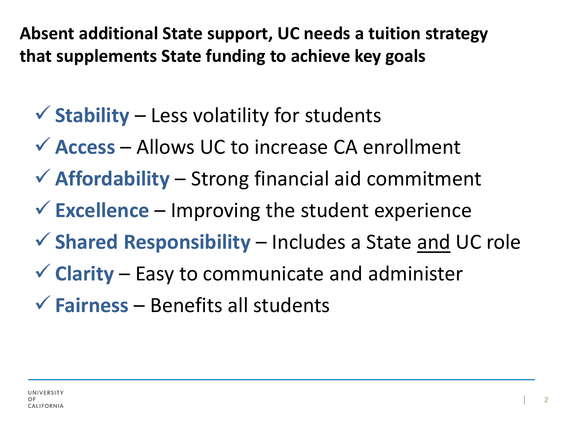**Absent additional State support, UC needs a tuition strategy that supplements State funding to achieve key goals**

- $\checkmark$  Stability Less volatility for students
- **Access**  Allows UC to increase CA enrollment
- **Affordability**  Strong financial aid commitment
- **Excellence** Improving the student experience
- **Shared Responsibility**  Includes a State and UC role
- **Clarity** Easy to communicate and administer
- **Fairness** Benefits all students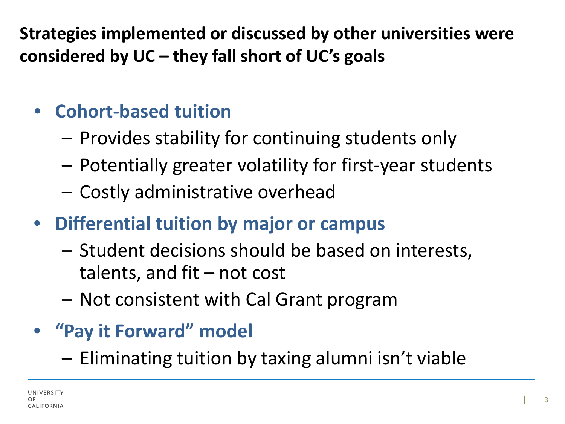**Strategies implemented or discussed by other universities were considered by UC – they fall short of UC's goals**

# • **Cohort-based tuition**

- Provides stability for continuing students only
- Potentially greater volatility for first-year students
- Costly administrative overhead
- **Differential tuition by major or campus** 
	- Student decisions should be based on interests, talents, and fit  $-$  not cost
	- Not consistent with Cal Grant program

# • **"Pay it Forward" model**

– Eliminating tuition by taxing alumni isn't viable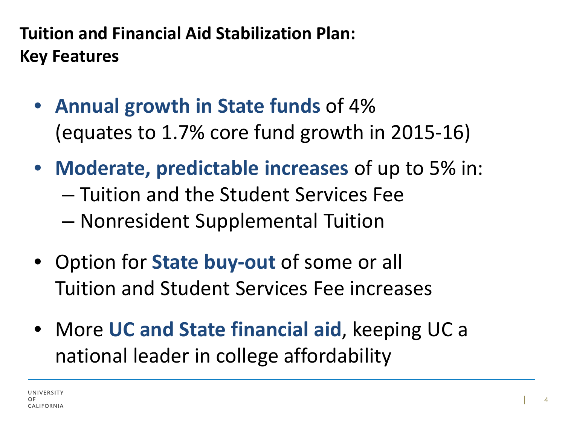# **Tuition and Financial Aid Stabilization Plan: Key Features**

- **Annual growth in State funds** of 4% (equates to 1.7% core fund growth in 2015-16)
- **Moderate, predictable increases** of up to 5% in: – Tuition and the Student Services Fee – Nonresident Supplemental Tuition
- Option for **State buy-out** of some or all Tuition and Student Services Fee increases
- More **UC and State financial aid**, keeping UC a national leader in college affordability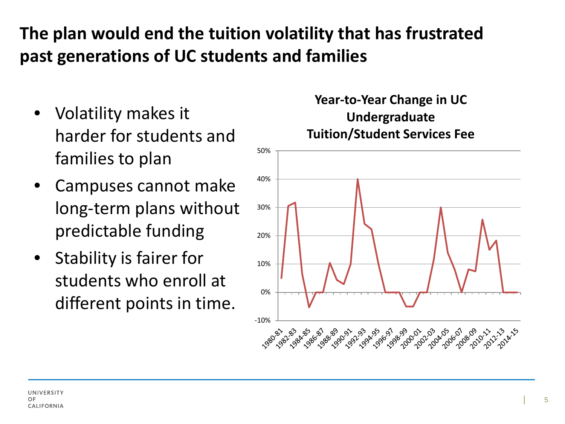## **The plan would end the tuition volatility that has frustrated past generations of UC students and families**

- Volatility makes it harder for students and families to plan
- Campuses cannot make long-term plans without predictable funding
- Stability is fairer for students who enroll at different points in time.

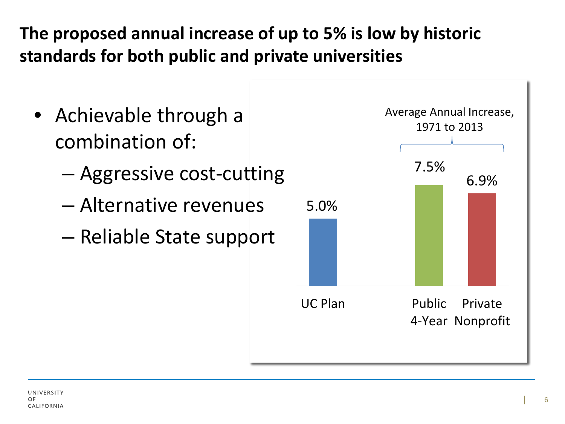# **The proposed annual increase of up to 5% is low by historic standards for both public and private universities**

- Achievable through a combination of:
	- Aggressive cost-cutting
	- Alternative revenues
	- Reliable State support

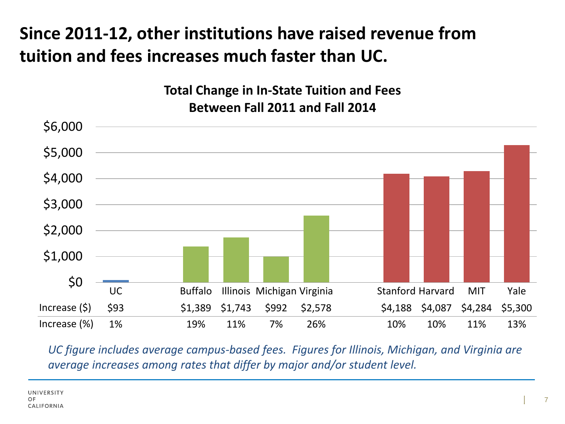# **Since 2011-12, other institutions have raised revenue from tuition and fees increases much faster than UC.**

**Total Change in In-State Tuition and Fees Between Fall 2011 and Fall 2014**



*UC figure includes average campus-based fees. Figures for Illinois, Michigan, and Virginia are average increases among rates that differ by major and/or student level.*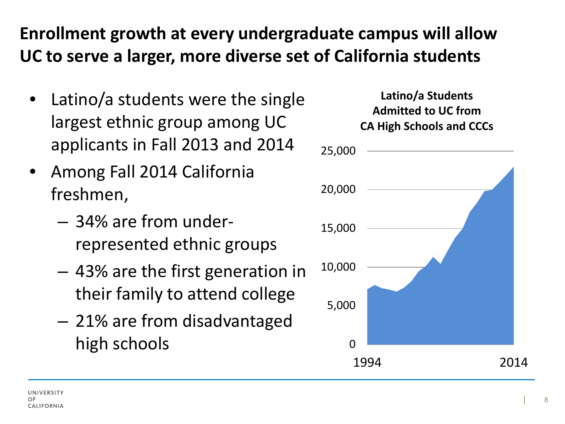## **Enrollment growth at every undergraduate campus will allow UC to serve a larger, more diverse set of California students**

- Latino/a students were the single largest ethnic group among UC applicants in Fall 2013 and 2014
- Among Fall 2014 California freshmen,
	- 34% are from underrepresented ethnic groups
	- 43% are the first generation in their family to attend college
	- 21% are from disadvantaged high schools on the control of the control of the control of the control of the control of the control of the control of the control of the control of the control of the control of the control of the control of the control

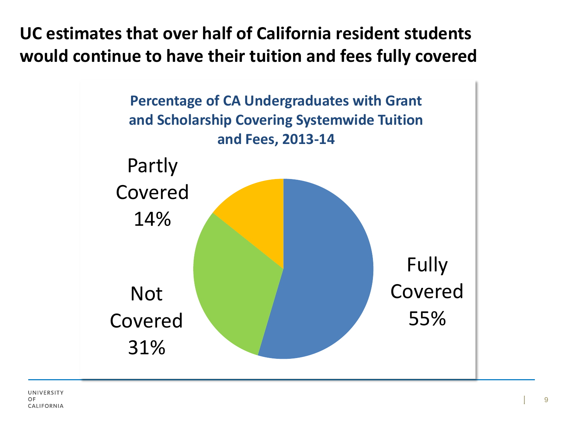**UC estimates that over half of California resident students would continue to have their tuition and fees fully covered**

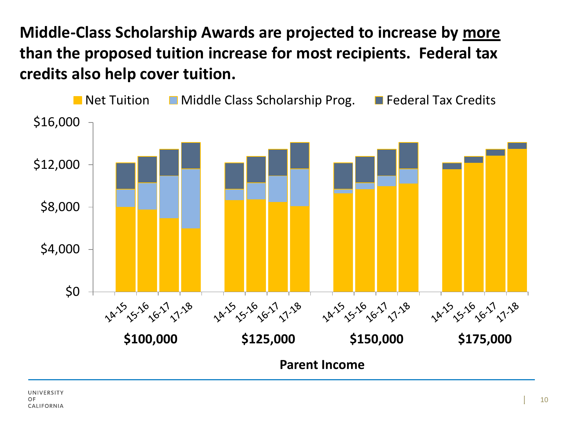**Middle-Class Scholarship Awards are projected to increase by more than the proposed tuition increase for most recipients. Federal tax credits also help cover tuition.**

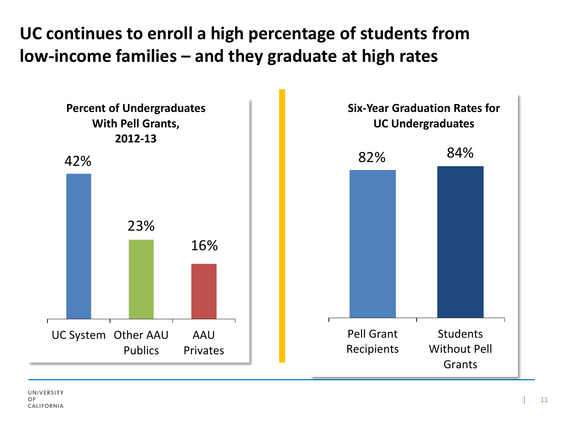## **UC continues to enroll a high percentage of students from low-income families – and they graduate at high rates**

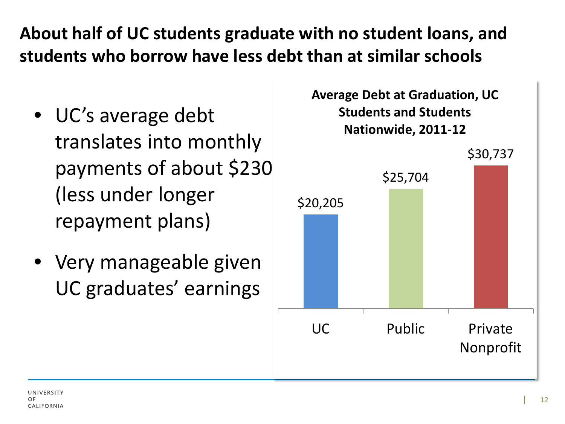#### **About half of UC students graduate with no student loans, and students who borrow have less debt than at similar schools**

- UC's average debt translates into monthly payments of about \$230 (less under longer repayment plans)
- Very manageable given UC graduates' earnings